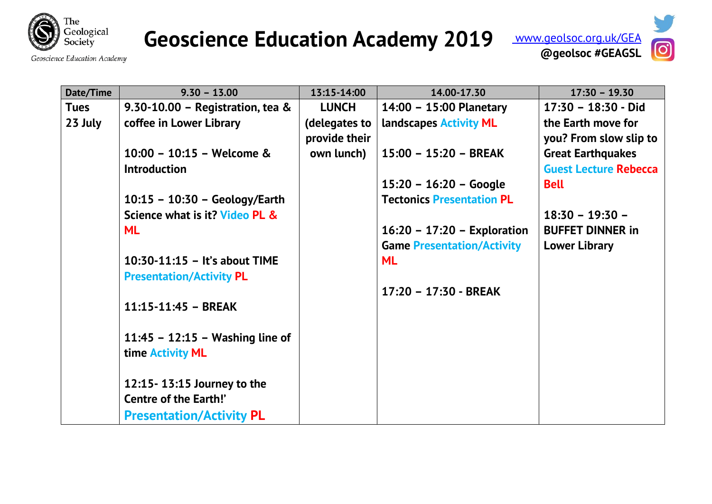

## **Geoscience Education Academy 2019**



| Date/Time   | $9.30 - 13.00$                     | 13:15-14:00   | 14.00-17.30                       | $17:30 - 19.30$              |
|-------------|------------------------------------|---------------|-----------------------------------|------------------------------|
| <b>Tues</b> | 9.30-10.00 - Registration, tea $&$ | <b>LUNCH</b>  | 14:00 - 15:00 Planetary           | $17:30 - 18:30 - Did$        |
| 23 July     | coffee in Lower Library            | (delegates to | landscapes <b>Activity ML</b>     | the Earth move for           |
|             |                                    | provide their |                                   | you? From slow slip to       |
|             | 10:00 - 10:15 - Welcome &          | own lunch)    | $15:00 - 15:20 - BREAK$           | <b>Great Earthquakes</b>     |
|             | <b>Introduction</b>                |               |                                   | <b>Guest Lecture Rebecca</b> |
|             |                                    |               | $15:20 - 16:20 - Google$          | <b>Bell</b>                  |
|             | $10:15 - 10:30 - Geology/Earth$    |               | <b>Tectonics Presentation PL</b>  |                              |
|             | Science what is it? Video PL &     |               |                                   | $18:30 - 19:30 -$            |
|             | <b>ML</b>                          |               | $16:20 - 17:20 -$ Exploration     | <b>BUFFET DINNER in</b>      |
|             |                                    |               | <b>Game Presentation/Activity</b> | <b>Lower Library</b>         |
|             | $10:30-11:15$ – It's about TIME    |               | <b>ML</b>                         |                              |
|             | <b>Presentation/Activity PL</b>    |               |                                   |                              |
|             |                                    |               | 17:20 - 17:30 - BREAK             |                              |
|             | $11:15 - 11:45 - BREAK$            |               |                                   |                              |
|             | 11:45 - 12:15 - Washing line of    |               |                                   |                              |
|             | time <b>Activity ML</b>            |               |                                   |                              |
|             | 12:15 - 13:15 Journey to the       |               |                                   |                              |
|             | <b>Centre of the Earth!'</b>       |               |                                   |                              |
|             | <b>Presentation/Activity PL</b>    |               |                                   |                              |

Geoscience Education Academy